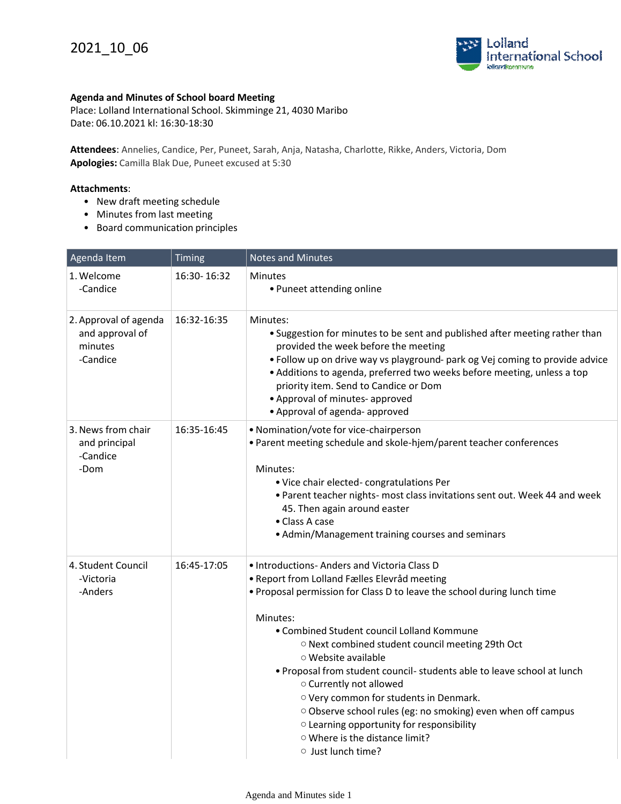

## **Agenda and Minutes of School board Meeting**

Place: Lolland International School. Skimminge 21, 4030 Maribo Date: 06.10.2021 kl: 16:30-18:30

**Attendees**: Annelies, Candice, Per, Puneet, Sarah, Anja, Natasha, Charlotte, Rikke, Anders, Victoria, Dom **Apologies:** Camilla Blak Due, Puneet excused at 5:30

## **Attachments**:

- New draft meeting schedule
- Minutes from last meeting
- Board communication principles

| Agenda Item                                                     | Timing      | <b>Notes and Minutes</b>                                                                                                                                                                                                                                                                                                                                                                                                                                                                                                                                                                                                              |
|-----------------------------------------------------------------|-------------|---------------------------------------------------------------------------------------------------------------------------------------------------------------------------------------------------------------------------------------------------------------------------------------------------------------------------------------------------------------------------------------------------------------------------------------------------------------------------------------------------------------------------------------------------------------------------------------------------------------------------------------|
| 1. Welcome<br>-Candice                                          | 16:30-16:32 | <b>Minutes</b><br>• Puneet attending online                                                                                                                                                                                                                                                                                                                                                                                                                                                                                                                                                                                           |
| 2. Approval of agenda<br>and approval of<br>minutes<br>-Candice | 16:32-16:35 | Minutes:<br>• Suggestion for minutes to be sent and published after meeting rather than<br>provided the week before the meeting<br>. Follow up on drive way vs playground- park og Vej coming to provide advice<br>• Additions to agenda, preferred two weeks before meeting, unless a top<br>priority item. Send to Candice or Dom<br>• Approval of minutes- approved<br>• Approval of agenda- approved                                                                                                                                                                                                                              |
| 3. News from chair<br>and principal<br>-Candice<br>-Dom         | 16:35-16:45 | • Nomination/vote for vice-chairperson<br>• Parent meeting schedule and skole-hjem/parent teacher conferences<br>Minutes:<br>• Vice chair elected-congratulations Per<br>. Parent teacher nights- most class invitations sent out. Week 44 and week<br>45. Then again around easter<br>• Class A case<br>• Admin/Management training courses and seminars                                                                                                                                                                                                                                                                             |
| 4. Student Council<br>-Victoria<br>-Anders                      | 16:45-17:05 | · Introductions- Anders and Victoria Class D<br>· Report from Lolland Fælles Elevråd meeting<br>. Proposal permission for Class D to leave the school during lunch time<br>Minutes:<br>• Combined Student council Lolland Kommune<br>O Next combined student council meeting 29th Oct<br>$\circ$ Website available<br>. Proposal from student council- students able to leave school at lunch<br>o Currently not allowed<br>O Very common for students in Denmark.<br>Observe school rules (eg: no smoking) even when off campus<br>o Learning opportunity for responsibility<br>○ Where is the distance limit?<br>o Just lunch time? |